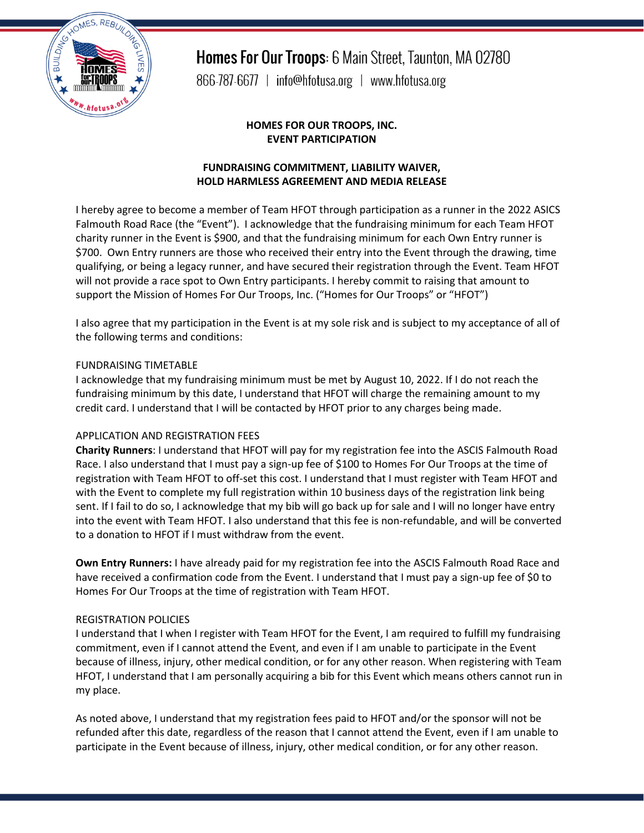

Homes For Our Troops: 6 Main Street, Taunton, MA 02780

866-787-6677 | info@hfotusa.org | www.hfotusa.org

#### **HOMES FOR OUR TROOPS, INC. EVENT PARTICIPATION**

## **FUNDRAISING COMMITMENT, LIABILITY WAIVER, HOLD HARMLESS AGREEMENT AND MEDIA RELEASE**

I hereby agree to become a member of Team HFOT through participation as a runner in the 2022 ASICS Falmouth Road Race (the "Event"). I acknowledge that the fundraising minimum for each Team HFOT charity runner in the Event is \$900, and that the fundraising minimum for each Own Entry runner is \$700. Own Entry runners are those who received their entry into the Event through the drawing, time qualifying, or being a legacy runner, and have secured their registration through the Event. Team HFOT will not provide a race spot to Own Entry participants. I hereby commit to raising that amount to support the Mission of Homes For Our Troops, Inc. ("Homes for Our Troops" or "HFOT")

I also agree that my participation in the Event is at my sole risk and is subject to my acceptance of all of the following terms and conditions:

#### FUNDRAISING TIMETABLE

I acknowledge that my fundraising minimum must be met by August 10, 2022. If I do not reach the fundraising minimum by this date, I understand that HFOT will charge the remaining amount to my credit card. I understand that I will be contacted by HFOT prior to any charges being made.

#### APPLICATION AND REGISTRATION FEES

**Charity Runners**: I understand that HFOT will pay for my registration fee into the ASCIS Falmouth Road Race. I also understand that I must pay a sign-up fee of \$100 to Homes For Our Troops at the time of registration with Team HFOT to off-set this cost. I understand that I must register with Team HFOT and with the Event to complete my full registration within 10 business days of the registration link being sent. If I fail to do so, I acknowledge that my bib will go back up for sale and I will no longer have entry into the event with Team HFOT. I also understand that this fee is non-refundable, and will be converted to a donation to HFOT if I must withdraw from the event.

**Own Entry Runners:** I have already paid for my registration fee into the ASCIS Falmouth Road Race and have received a confirmation code from the Event. I understand that I must pay a sign-up fee of \$0 to Homes For Our Troops at the time of registration with Team HFOT.

#### REGISTRATION POLICIES

I understand that I when I register with Team HFOT for the Event, I am required to fulfill my fundraising commitment, even if I cannot attend the Event, and even if I am unable to participate in the Event because of illness, injury, other medical condition, or for any other reason. When registering with Team HFOT, I understand that I am personally acquiring a bib for this Event which means others cannot run in my place.

As noted above, I understand that my registration fees paid to HFOT and/or the sponsor will not be refunded after this date, regardless of the reason that I cannot attend the Event, even if I am unable to participate in the Event because of illness, injury, other medical condition, or for any other reason.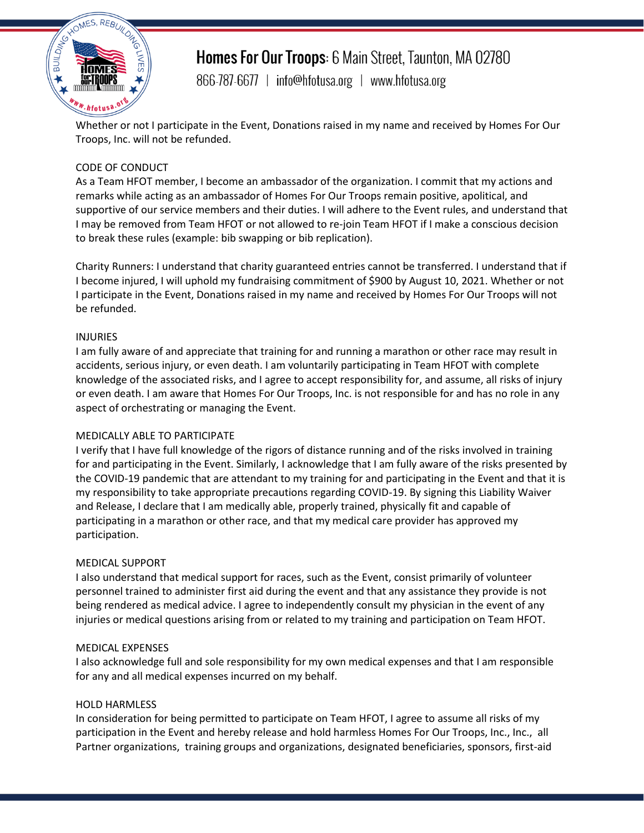

## Homes For Our Troops: 6 Main Street, Taunton, MA 02780

866-787-6677 | info@hfotusa.org | www.hfotusa.org

Whether or not I participate in the Event, Donations raised in my name and received by Homes For Our Troops, Inc. will not be refunded.

## CODE OF CONDUCT

As a Team HFOT member, I become an ambassador of the organization. I commit that my actions and remarks while acting as an ambassador of Homes For Our Troops remain positive, apolitical, and supportive of our service members and their duties. I will adhere to the Event rules, and understand that I may be removed from Team HFOT or not allowed to re-join Team HFOT if I make a conscious decision to break these rules (example: bib swapping or bib replication).

Charity Runners: I understand that charity guaranteed entries cannot be transferred. I understand that if I become injured, I will uphold my fundraising commitment of \$900 by August 10, 2021. Whether or not I participate in the Event, Donations raised in my name and received by Homes For Our Troops will not be refunded.

#### INJURIES

I am fully aware of and appreciate that training for and running a marathon or other race may result in accidents, serious injury, or even death. I am voluntarily participating in Team HFOT with complete knowledge of the associated risks, and I agree to accept responsibility for, and assume, all risks of injury or even death. I am aware that Homes For Our Troops, Inc. is not responsible for and has no role in any aspect of orchestrating or managing the Event.

#### MEDICALLY ABLE TO PARTICIPATE

I verify that I have full knowledge of the rigors of distance running and of the risks involved in training for and participating in the Event. Similarly, I acknowledge that I am fully aware of the risks presented by the COVID-19 pandemic that are attendant to my training for and participating in the Event and that it is my responsibility to take appropriate precautions regarding COVID-19. By signing this Liability Waiver and Release, I declare that I am medically able, properly trained, physically fit and capable of participating in a marathon or other race, and that my medical care provider has approved my participation.

#### MEDICAL SUPPORT

I also understand that medical support for races, such as the Event, consist primarily of volunteer personnel trained to administer first aid during the event and that any assistance they provide is not being rendered as medical advice. I agree to independently consult my physician in the event of any injuries or medical questions arising from or related to my training and participation on Team HFOT.

#### MEDICAL EXPENSES

I also acknowledge full and sole responsibility for my own medical expenses and that I am responsible for any and all medical expenses incurred on my behalf.

#### HOLD HARMLESS

In consideration for being permitted to participate on Team HFOT, I agree to assume all risks of my participation in the Event and hereby release and hold harmless Homes For Our Troops, Inc., Inc., all Partner organizations, training groups and organizations, designated beneficiaries, sponsors, first-aid